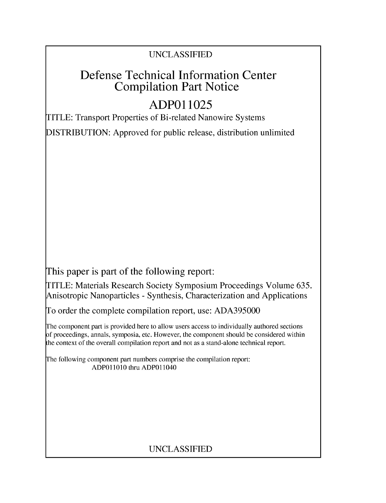### UNCLASSIFIED

## Defense Technical Information Center Compilation Part Notice

# **ADPO 11025**

TITLE: Transport Properties of Bi-related Nanowire Systems

DISTRIBUTION: Approved for public release, distribution unlimited

This paper is part of the following report:

TITLE: Materials Research Society Symposium Proceedings Volume 635. Anisotropic Nanoparticles - Synthesis, Characterization and Applications

To order the complete compilation report, use: ADA395000

The component part is provided here to allow users access to individually authored sections f proceedings, annals, symposia, etc. However, the component should be considered within [he context of the overall compilation report and not as a stand-alone technical report.

The following component part numbers comprise the compilation report: **ADPO11010** thru ADPO11040

## UNCLASSIFIED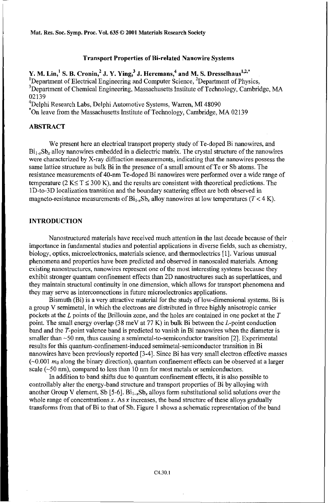Mat. Res. Soc. Symp. Proc. Vol. 635 © 2001 Materials Research Society

#### Transport Properties of Bi-related Nanowire Systems

Y. M. Lin,<sup>1</sup> S. B. Cronin,<sup>2</sup> J. Y. Ying,<sup>3</sup> J. Heremans,<sup>4</sup> and M. S. Dresselhaus<sup>1,2,\*</sup> <sup>1</sup>Department of Electrical Engineering and Computer Science,  ${}^{2}$ Department of Physics, <sup>3</sup>Department of Chemical Engineering, Massachusetts Institute of Technology, Cambridge, MA 02139 <sup>4</sup>

<sup>4</sup>Delphi Research Labs, Delphi Automotive Systems, Warren, MI 48090<br>Ton leave from the Massachusetts Institute of Technology, Cambridge, MA 02139

#### ABSTRACT

We present here an electrical transport property study of Te-doped Bi nanowires, and  $Bi<sub>1,x</sub>Sb<sub>x</sub>$  alloy nanowires embedded in a dielectric matrix. The crystal structure of the nanowires were characterized by X-ray diffraction measurements, indicating that the nanowires possess the same lattice structure as bulk Bi in the presence of a small amount of Te or Sb atoms. The resistance measurements of 40-nm Te-doped Bi nanowires were performed over a wide range of temperature (2 K $\leq$  T $\leq$  300 K), and the results are consistent with theoretical predictions. The iD-to-3D localization transition and the boundary scattering effect are both observed in magneto-resistance measurements of  $Bi_{1}$ , Sb, alloy nanowires at low temperatures ( $T < 4$  K).

#### **INTRODUCTION**

Nanostructured materials have received much attention in the last decade because of their importance in fundamental studies and potential applications in diverse fields, such as chemistry, biology, optics, microelectronics, materials science, and thermoelectrics [1]. Various unusual phenomena and properties have been predicted and observed in nanoscaled materials. Among existing nanostructures, nanowires represent one of the most interesting systems because they exhibit stronger quantum confinement effects than 2D nanostructures such as superlattices, and they maintain structural continuity in one dimension, which allows for transport phenomena and they may serve as interconnections in future microelectronics applications.

Bismuth (Bi) is a very attractive material for the study of low-dimensional systems. Bi is a group V semimetal, in which the electrons are distributed in three highly anisotropic carrier pockets at the L points of the Brillouin zone, and the holes are contained in one pocket at the *T* point. The small energy overlap (38 meV at 77 K) in bulk Bi between the L-point conduction band and the T-point valence band is predicted to vanish in Bi nanowires when the diameter is smaller than  $\sim$ 50 nm, thus causing a semimetal-to-semiconductor transition [2]. Experimental results for this quantum-confinement-induced semimetal-semiconductor transition in Bi nanowires have been previously reported [3-4]. Since Bi has very small electron effective masses  $(-0.001 \, m_0)$  along the binary direction), quantum confinement effects can be observed at a larger scale ( $\sim$ 50 nm), compared to less than 10 nm for most metals or semiconductors.

In addition to band shifts due to quantum confinement effects, it is also possible to controllably alter the energy-band structure and transport properties of Bi by alloying with another Group V element, Sb  $[5-6]$ . Bi<sub>1-x</sub>Sb<sub>y</sub> alloys form substitutional solid solutions over the whole range of concentrations  $x$ . As  $x$  increases, the band structure of these alloys gradually transforms from that of Bi to that of Sb. Figure 1 shows a schematic representation of the band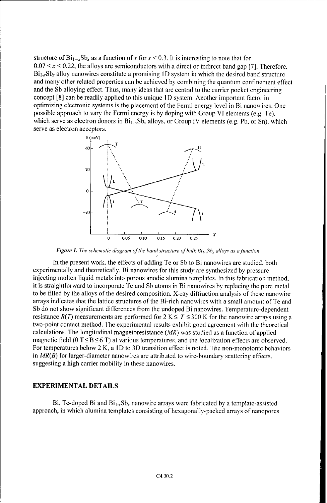structure of  $\text{Bi}_{1-x}\text{Sb}_x$  as a function of x for  $x < 0.3$ . It is interesting to note that for  $0.07 \le x \le 0.22$ , the alloys are semiconductors with a direct or indirect band gap [7]. Therefore, **Bi1 .XSbx** alloy nanowires constitute a promising **I** D system in which the desired band structure and many other related properties can be achieved by combining the quantum confinement effect and the Sb alloying effect. Thus, many ideas that are central to the carrier pocket engineering concept [8] can be readily applied to this unique **ID** system. Another important factor in optimizing electronic systems is the placement of the Fermi energy level in Bi nanowires. One possible approach to vary the Fermi energy is by doping with Group VI elements (e.g. Te), which serve as electron donors in  $Bi_{1-x}Sb_x$  alloys, or Group IV elements (e.g. Pb, or Sn), which serve as electron acceptors.



*Figure* **1.** *The schematic diagram* of *the hand structure of bulk Bi* <sup>1</sup> *,Sh, alloys as afuinction*

In the present work. the effects of adding Te or Sb to Bi nanowires are studied, both experimentally and theoretically. Bi nanowires for this study are synthesized by pressure injecting molten liquid metals into porous anodic alumina templates. In this fabrication method, it is straightforward to incorporate Te and Sb atoms in Bi nanowires by replacing the pure metal to be filled by the alloys of the desired composition. X-ray diffraction analysis of these nanowire arrays indicates that the lattice structures of the Bi-rich nanowires with a small amount of Te and Sb do not show significant differences from the undoped Bi nanowires. Temperature-dependent resistance  $R(T)$  measurements are performed for  $2 K \leq T \leq 300 K$  for the nanowire arrays using a two-point contact method. The experimental results exhibit good agreement with the theoretical calculations. The longitudinal magnetoresistance  $(MR)$  was studied as a function of applied magnetic field (0 T  $\leq$  B  $\leq$  6 T) at various temperatures, and the localization effects are observed. For temperatures below 2 K, a **ID** to 3D transition effect is noted. The non-monotonic behaviors in *MR(B)* for larger-diameter nanowires are attributed to wire-boundary scattering effects. suggesting a high carrier mobility in these nanowires.

#### EXPERIMENTAL **DETAILS**

Bi, Te-doped Bi and  $Bi_{1x}Sb_x$  nanowire arrays were fabricated by a template-assisted approach, in which alumina templates consisting of hexagonally-packed arrays of nanopores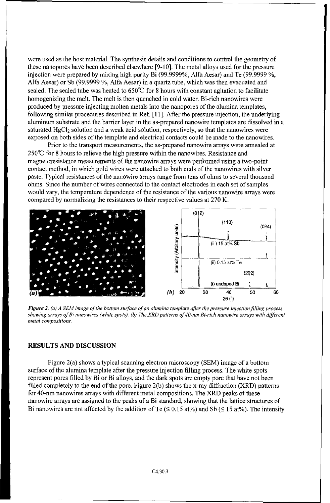were used as the host material. The synthesis details and conditions to control the geometry of these nanopores have been described elsewhere [9-10]. The metal alloys used for the pressure injection were prepared by mixing high purity Bi (99.9999%, Alfa Aesar) and Te (99.9999 %, Alfa Aesar) or Sb (99.9999 %, Alfa Aesar) in a quartz tube, which was then evacuated and sealed. The sealed tube was heated to 650°C for 8 hours with constant agitation to facilitate homogenizing the melt. The melt is then quenched in cold water. Bi-rich nanowires were produced by pressure injecting molten metals into the nanopores of the alumina templates, following similar procedures described in Ref. [11]. After the pressure injection, the underlying aluminum substrate and the barrier layer in the as-prepared nanowire templates are dissolved in a saturated HgCl<sub>2</sub> solution and a weak acid solution, respectively, so that the nanowires were exposed on both sides of the template and electrical contacts could be made to the nanowires.

Prior to the transport measurements, the as-prepared nanowire arrays were annealed at 250°C for 8 hours to relieve the high pressure within the nanowires. Resistance and magnetoresistance measurements of the nanowire arrays were performed using a two-point contact method, in which gold wires were attached to both ends of the nanowires with silver paste. Typical resistances of the nanowire arrays range from tens of ohms to several thousand ohms. Since the number of wires connected to the contact electrodes in each set of samples would vary, the temperature dependence of the resistance of the various nanowire arrays were compared by normalizing the resistances to their respective values at 270 K.



*Figure 2. (a) A SEM image of the bottom surface of an alumina template after the pressure injection filling process, showing arrays of Bi nanowires (white spots). (b) The XRD patterns of 40-nm Bi-rich nanowire arrays with different metal compositions.*

#### **RESULTS AND DISCUSSION**

Figure 2(a) shows a typical scanning electron microscopy (SEM) image of a bottom surface of the alumina template after the pressure injection filling process. The white spots represent pores filled by Bi or Bi alloys, and the dark spots are empty pore that have not been filled completely to the end of the pore. Figure 2(b) shows the x-ray diffraction (XRD) patterns for 40-nm nanowires arrays with different metal compositions. The XRD peaks of these nanowire arrays are assigned to the peaks of a Bi standard, showing that the lattice structures of Bi nanowires are not affected by the addition of Te ( $\leq 0.15$  at%) and Sb ( $\leq 15$  at%). The intensity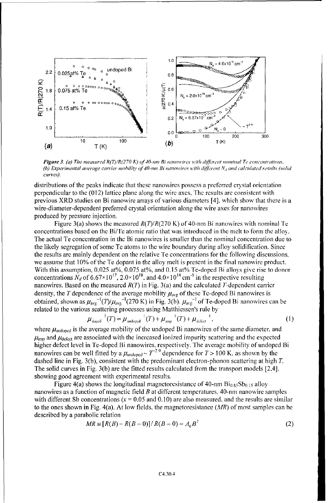

*Figure 3. (a) The measured R(T)/R(270 K) of 40-nm Bi nanowires with different nominal Te concentrations. (b) Experimental average* carrier *mobility of 40-nm Bi nanowires* with *different N, and calculated results (solid* curves).

distributions of the peaks indicate that these nanowires possess a preferred cystal orientation perpendicular to the (012) lattice plane along the wire axes. The results arc consistent with previous XRD studies on Bi nanowire arrays of various diameters [4]. which show that there is a wire-diameter-dependent preferred crystal orientation along the wire axes for nanowires produced by pressure injection.

Figure 3(a) shows the measured  $R(T)/R(270 \text{ K})$  of 40-nm Bi nanowires with nominal Te concentrations based on the Bifle atomic ratio that was introduced in the melt to form the alloy. The actual Te concentration in the Bi nanowires is smaller than the nominal concentration due to the likely segregation of some Te atoms to the wire boundary during alloy solidification. Since the results are mainly dependent on the relative Te concentrations for the following discussions. we assume that 10% of the Te dopant in the alloy melt is present in the final nanowire product. With this assumption, 0.025 at%, 0.075 at%, and 0.15 at% Te-doped Bi alloys give rise to donor concentrations  $N_d$  of 6.67×10<sup>17</sup>, 2.0×10<sup>18</sup>, and 4.0×10<sup>18</sup> cm<sup>-3</sup> in the respective resulting nanowires. Based on the measured  $R(T)$  in Fig. 3(a) and the calculated T-dependent carrier density, the T dependence of the average mobility  $\mu_{avg}$  of these Te-doped Bi nanowires is obtained, shown as  $\mu_{avg}^{-1}(T)/\mu_{avg}^{-1}(270 \text{ K})$  in Fig. 3(b).  $\mu_{avg}^{-1}$  of Te-doped Bi nanowires can be related to the various scattering processes using Matthiessen's rule by

$$
\mu_{\text{doped}}^{-1}(T) = \mu_{\text{undoped}}^{-1}(T) + \mu_{\text{imp}}^{-1}(T) + \mu_{\text{Jchecker}}^{-1},
$$
\n(1)

where  $\mu_{\text{undoped}}$  is the average mobility of the undoped Bi nanowires of the same diameter, and  $\mu_{\text{imp}}$  and  $\mu_{\text{defect}}$  are associated with the increased ionized impurity scattering and the expected higher defect level in Te-doped Bi nanowires, respectively. The average mobility of undoped Bi nanowires can be well fitted by a  $\mu_{\text{undored}} \sim T^{-2.9}$  dependence for  $T > 100$  K, as shown by the dashed line in Fig. 3(b), consistent with the predominant electron-phonon scattering at high T. The solid curves in Fig. 3(b) are the fitted results calculated from the transport models [2,4], showing good agreement with experimental results.

Figure 4(a) shows the longitudinal magnetoresistance of  $40$ -nm  $Bi<sub>0.85</sub>Sb<sub>0.15</sub>$  alloy nanowires as a function of magnetic field  $B$  at different temperatures. 40-nm nanowire samples with different Sb concentrations ( $x = 0.05$  and 0.10) are also measured, and the results are similar to the ones shown in Fig. 4(a). At low fields, the magnetoresistance  $(MR)$  of most samples can be described by a parabolic relation

$$
MR \equiv [R(B) - R(B=0)] / R(B=0) = A_0 B^2 \tag{2}
$$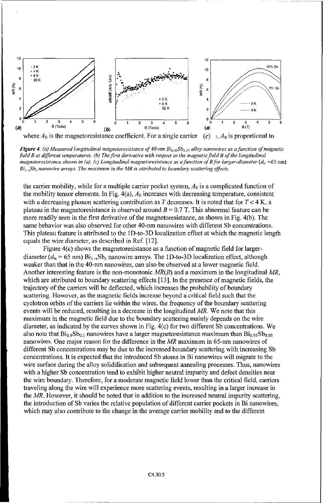

*Figure 4. (a) Measured longitudinal magnetoresistance of 40-nm Bio, 5Sbu15 alloy nanowires as afunction of magnetic field B at different temperatures. (b) The first derivative with respect to the magnetie field B of the longitudinal magnetoresistance shown in (a). (c) Longitudinal magnetoresistance as a function of B for larger-diameter (d<sub>x</sub> =65 nm)*  $Bi_{1x}Sb_x$  nanowire arrays. The maximum in the MR is attributed to boundary scattering effects.

the carrier mobility, while for a multiple carrier pocket system, *A0* is a complicated function of the mobility tensor elements. In Fig.  $4(a)$ ,  $A_0$  increases with decreasing temperature, consistent with a decreasing phonon scattering contribution as  $T$  decreases. It is noted that for  $T < 4$  K, a plateau in the magnetoresistance is observed around  $B = 0.7$  T. This abnormal feature can be more readily seen in the first derivative of the magnetoresistance, as shown in Fig. 4(b). The same behavior was also observed for other 40-nm nanowires with different Sb concentrations. This plateau feature is attributed to the ID-to-3D localization effect at which the magnetic length equals the wire diameter, as described in Ref. [12].

Figure 4(c) shows the magnetoresistance as a function of magnetic field for largerdiameter  $(d_w = 65 \text{ nm}) \text{Bi}_{1-x} \text{Sb}_x$  nanowire arrays. The 1D-to-3D localization effect, although weaker than that in the 40-nm nanowires, can also be observed at a lower magnetic field. Another interesting feature is the non-monotonic  $MR(B)$  and a maximum in the longitudinal  $MR$ , which are attributed to boundary scattering effects [13]. In the presence of magnetic fields, the trajectory of the carriers will be deflected, which increases the probability of boundary scattering. However, as the magnetic fields increase beyond a critical field such that the cyclotron orbits of the carriers lie within the wires, the frequency of the boundary scattering events will be reduced, resulting in a decrease in the longitudinal MR. We note that this maximum in the magnetic field due to the boundary scattering mainly depends on the wire diameter, as indicated by the curves shown in Fig. 4(c) for two different Sb concentrations. We also note that  $Bi_{0.9}Sb_{0.1}$  nanowires have a larger magnetoresistance maximum than  $Bi_{0.95}Sb_{0.05}$ nanowires. One major reason for the difference in the MR maximum in 65-nm nanowires of different Sb concentrations may be due to the increased boundary scattering with increasing Sb concentrations. It is expected that the introduced Sb atoms in Bi nanowires will migrate to the wire surface during the alloy solidification and subsequent annealing processes. Thus, nanowires with a higher Sb concentration tend to exhibit higher neutral impurity and defect densities near the wire boundary. Therefore, for a moderate magnetic field lower than the critical field, carriers traveling along the wire will experience more scattering events, resulting in a larger increase in the MR. However, it should be noted that in addition to the increased neutral impurity scattering. the introduction of Sb varies the relative population of different carrier pockets in Bi nanowires, which may also contribute to the change in the average carrier mobility and to the different